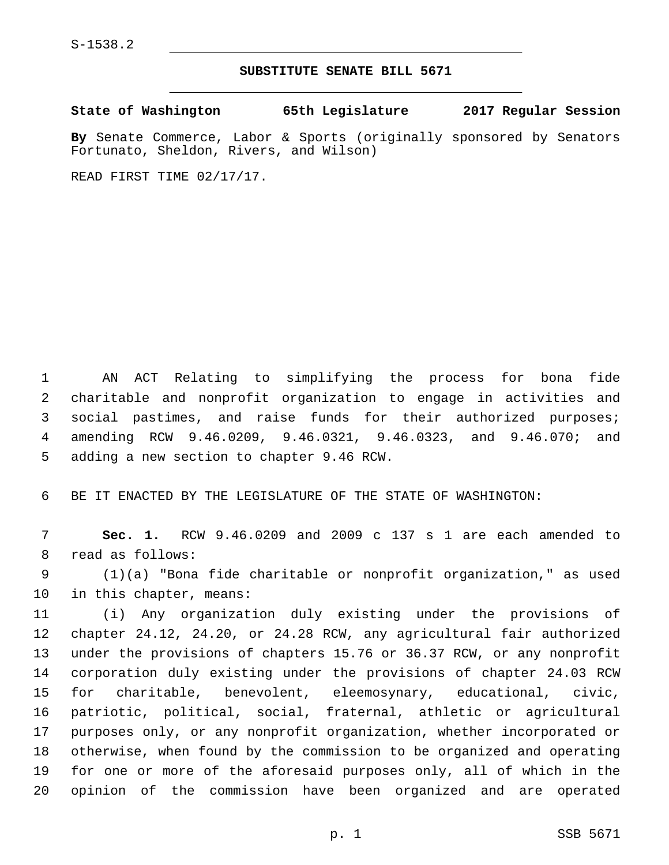## **SUBSTITUTE SENATE BILL 5671**

**State of Washington 65th Legislature 2017 Regular Session**

**By** Senate Commerce, Labor & Sports (originally sponsored by Senators Fortunato, Sheldon, Rivers, and Wilson)

READ FIRST TIME 02/17/17.

 AN ACT Relating to simplifying the process for bona fide charitable and nonprofit organization to engage in activities and social pastimes, and raise funds for their authorized purposes; amending RCW 9.46.0209, 9.46.0321, 9.46.0323, and 9.46.070; and 5 adding a new section to chapter 9.46 RCW.

BE IT ENACTED BY THE LEGISLATURE OF THE STATE OF WASHINGTON:

 **Sec. 1.** RCW 9.46.0209 and 2009 c 137 s 1 are each amended to 8 read as follows:

 (1)(a) "Bona fide charitable or nonprofit organization," as used 10 in this chapter, means:

 (i) Any organization duly existing under the provisions of chapter 24.12, 24.20, or 24.28 RCW, any agricultural fair authorized under the provisions of chapters 15.76 or 36.37 RCW, or any nonprofit corporation duly existing under the provisions of chapter 24.03 RCW for charitable, benevolent, eleemosynary, educational, civic, patriotic, political, social, fraternal, athletic or agricultural purposes only, or any nonprofit organization, whether incorporated or otherwise, when found by the commission to be organized and operating for one or more of the aforesaid purposes only, all of which in the opinion of the commission have been organized and are operated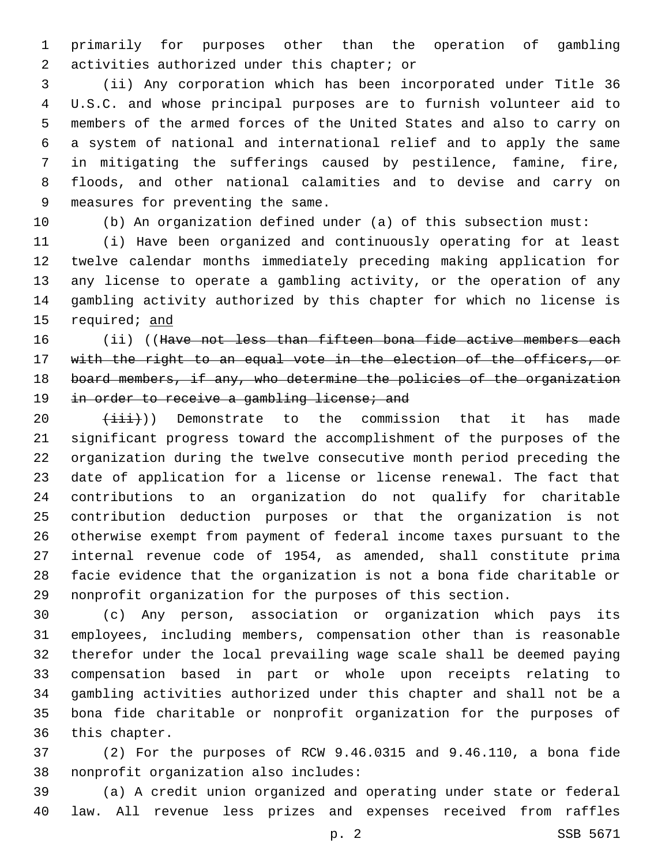primarily for purposes other than the operation of gambling 2 activities authorized under this chapter; or

 (ii) Any corporation which has been incorporated under Title 36 U.S.C. and whose principal purposes are to furnish volunteer aid to members of the armed forces of the United States and also to carry on a system of national and international relief and to apply the same in mitigating the sufferings caused by pestilence, famine, fire, floods, and other national calamities and to devise and carry on 9 measures for preventing the same.

(b) An organization defined under (a) of this subsection must:

 (i) Have been organized and continuously operating for at least twelve calendar months immediately preceding making application for any license to operate a gambling activity, or the operation of any gambling activity authorized by this chapter for which no license is 15 required; and

16 (ii) ((Have not less than fifteen bona fide active members each 17 with the right to an equal vote in the election of the officers, or board members, if any, who determine the policies of the organization 19 in order to receive a gambling license; and

 $(\pm \pm i)$ ) Demonstrate to the commission that it has made significant progress toward the accomplishment of the purposes of the organization during the twelve consecutive month period preceding the date of application for a license or license renewal. The fact that contributions to an organization do not qualify for charitable contribution deduction purposes or that the organization is not otherwise exempt from payment of federal income taxes pursuant to the internal revenue code of 1954, as amended, shall constitute prima facie evidence that the organization is not a bona fide charitable or nonprofit organization for the purposes of this section.

 (c) Any person, association or organization which pays its employees, including members, compensation other than is reasonable therefor under the local prevailing wage scale shall be deemed paying compensation based in part or whole upon receipts relating to gambling activities authorized under this chapter and shall not be a bona fide charitable or nonprofit organization for the purposes of 36 this chapter.

 (2) For the purposes of RCW 9.46.0315 and 9.46.110, a bona fide 38 nonprofit organization also includes:

 (a) A credit union organized and operating under state or federal law. All revenue less prizes and expenses received from raffles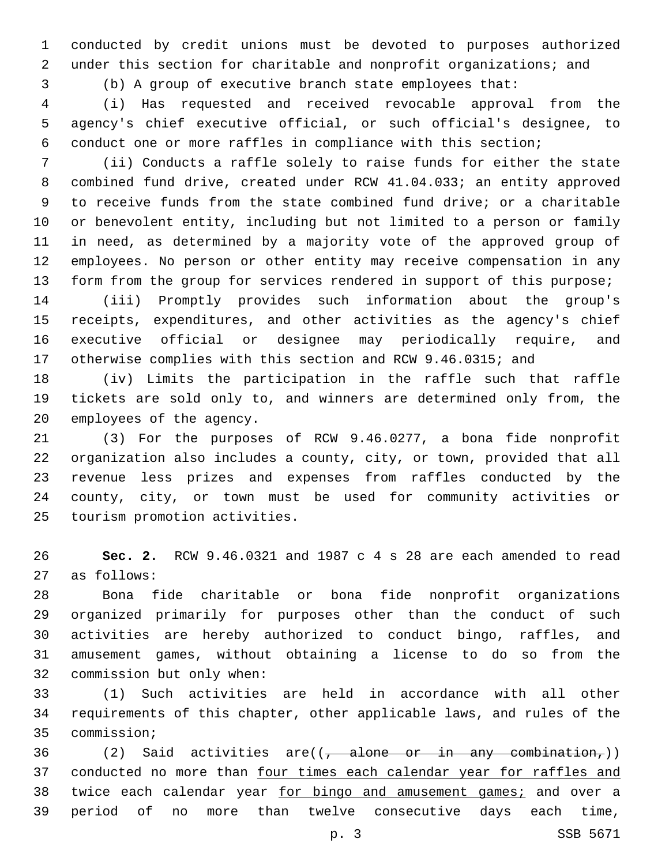conducted by credit unions must be devoted to purposes authorized under this section for charitable and nonprofit organizations; and

(b) A group of executive branch state employees that:

 (i) Has requested and received revocable approval from the agency's chief executive official, or such official's designee, to conduct one or more raffles in compliance with this section;

 (ii) Conducts a raffle solely to raise funds for either the state combined fund drive, created under RCW 41.04.033; an entity approved to receive funds from the state combined fund drive; or a charitable or benevolent entity, including but not limited to a person or family in need, as determined by a majority vote of the approved group of employees. No person or other entity may receive compensation in any 13 form from the group for services rendered in support of this purpose;

 (iii) Promptly provides such information about the group's receipts, expenditures, and other activities as the agency's chief executive official or designee may periodically require, and otherwise complies with this section and RCW 9.46.0315; and

 (iv) Limits the participation in the raffle such that raffle tickets are sold only to, and winners are determined only from, the 20 employees of the agency.

 (3) For the purposes of RCW 9.46.0277, a bona fide nonprofit organization also includes a county, city, or town, provided that all revenue less prizes and expenses from raffles conducted by the county, city, or town must be used for community activities or 25 tourism promotion activities.

 **Sec. 2.** RCW 9.46.0321 and 1987 c 4 s 28 are each amended to read 27 as follows:

 Bona fide charitable or bona fide nonprofit organizations organized primarily for purposes other than the conduct of such activities are hereby authorized to conduct bingo, raffles, and amusement games, without obtaining a license to do so from the 32 commission but only when:

 (1) Such activities are held in accordance with all other requirements of this chapter, other applicable laws, and rules of the 35 commission;

36 (2) Said activities are( $(-$ alone or in any combination,)) 37 conducted no more than four times each calendar year for raffles and 38 twice each calendar year for bingo and amusement games; and over a period of no more than twelve consecutive days each time,

p. 3 SSB 5671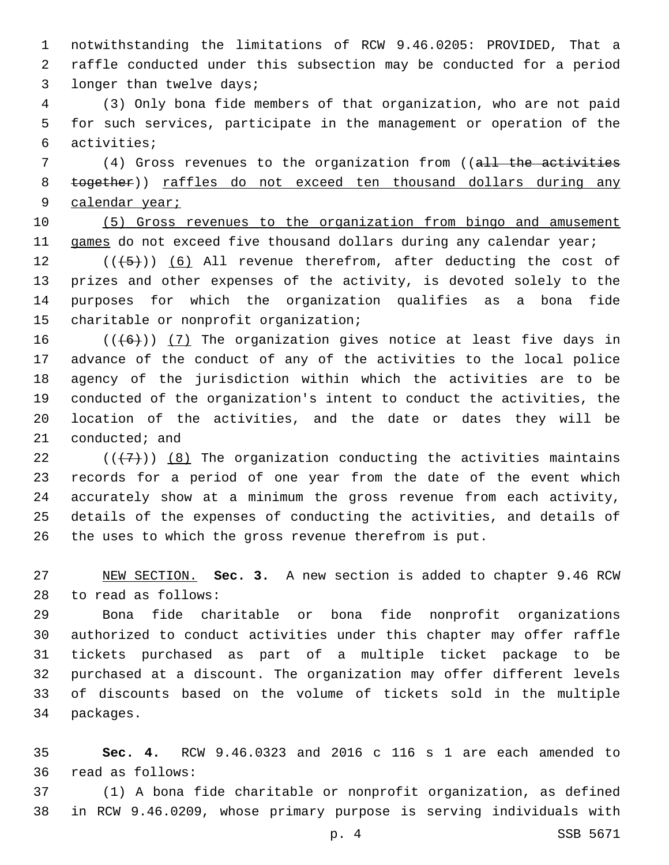notwithstanding the limitations of RCW 9.46.0205: PROVIDED, That a raffle conducted under this subsection may be conducted for a period 3 longer than twelve days;

 (3) Only bona fide members of that organization, who are not paid for such services, participate in the management or operation of the activities;6

7 (4) Gross revenues to the organization from ((all the activities together)) raffles do not exceed ten thousand dollars during any calendar year;

 (5) Gross revenues to the organization from bingo and amusement games do not exceed five thousand dollars during any calendar year;

 $((+5+))$  (6) All revenue therefrom, after deducting the cost of prizes and other expenses of the activity, is devoted solely to the purposes for which the organization qualifies as a bona fide 15 charitable or nonprofit organization;

 $((+6))$  (7) The organization gives notice at least five days in advance of the conduct of any of the activities to the local police agency of the jurisdiction within which the activities are to be conducted of the organization's intent to conduct the activities, the location of the activities, and the date or dates they will be conducted; and

 $((+7+))$  (8) The organization conducting the activities maintains records for a period of one year from the date of the event which accurately show at a minimum the gross revenue from each activity, details of the expenses of conducting the activities, and details of the uses to which the gross revenue therefrom is put.

 NEW SECTION. **Sec. 3.** A new section is added to chapter 9.46 RCW to read as follows:28

 Bona fide charitable or bona fide nonprofit organizations authorized to conduct activities under this chapter may offer raffle tickets purchased as part of a multiple ticket package to be purchased at a discount. The organization may offer different levels of discounts based on the volume of tickets sold in the multiple 34 packages.

 **Sec. 4.** RCW 9.46.0323 and 2016 c 116 s 1 are each amended to read as follows:36

 (1) A bona fide charitable or nonprofit organization, as defined in RCW 9.46.0209, whose primary purpose is serving individuals with

p. 4 SSB 5671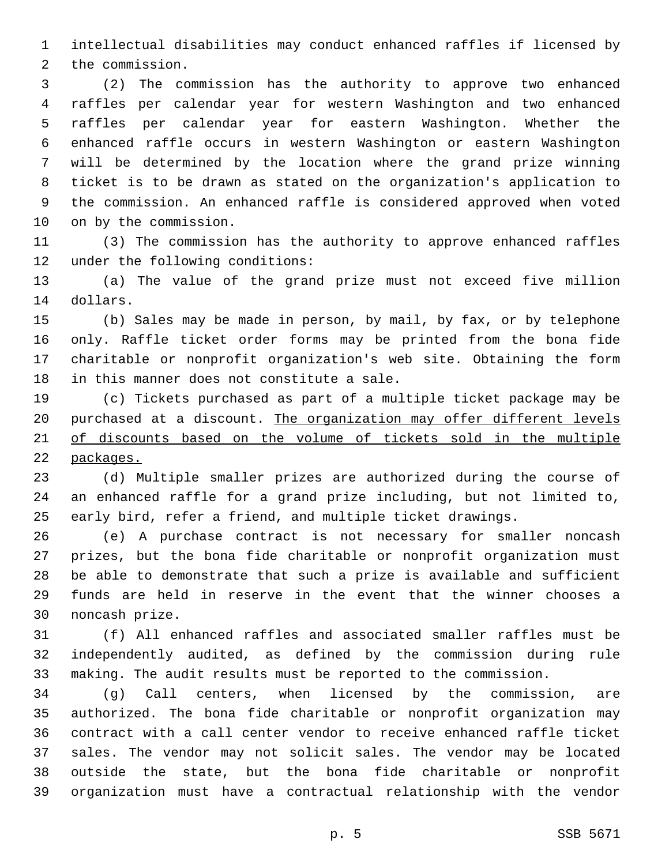intellectual disabilities may conduct enhanced raffles if licensed by 2 the commission.

 (2) The commission has the authority to approve two enhanced raffles per calendar year for western Washington and two enhanced raffles per calendar year for eastern Washington. Whether the enhanced raffle occurs in western Washington or eastern Washington will be determined by the location where the grand prize winning ticket is to be drawn as stated on the organization's application to the commission. An enhanced raffle is considered approved when voted 10 on by the commission.

 (3) The commission has the authority to approve enhanced raffles 12 under the following conditions:

 (a) The value of the grand prize must not exceed five million 14 dollars.

 (b) Sales may be made in person, by mail, by fax, or by telephone only. Raffle ticket order forms may be printed from the bona fide charitable or nonprofit organization's web site. Obtaining the form 18 in this manner does not constitute a sale.

 (c) Tickets purchased as part of a multiple ticket package may be purchased at a discount. The organization may offer different levels of discounts based on the volume of tickets sold in the multiple packages.

 (d) Multiple smaller prizes are authorized during the course of an enhanced raffle for a grand prize including, but not limited to, early bird, refer a friend, and multiple ticket drawings.

 (e) A purchase contract is not necessary for smaller noncash prizes, but the bona fide charitable or nonprofit organization must be able to demonstrate that such a prize is available and sufficient funds are held in reserve in the event that the winner chooses a 30 noncash prize.

 (f) All enhanced raffles and associated smaller raffles must be independently audited, as defined by the commission during rule making. The audit results must be reported to the commission.

 (g) Call centers, when licensed by the commission, are authorized. The bona fide charitable or nonprofit organization may contract with a call center vendor to receive enhanced raffle ticket sales. The vendor may not solicit sales. The vendor may be located outside the state, but the bona fide charitable or nonprofit organization must have a contractual relationship with the vendor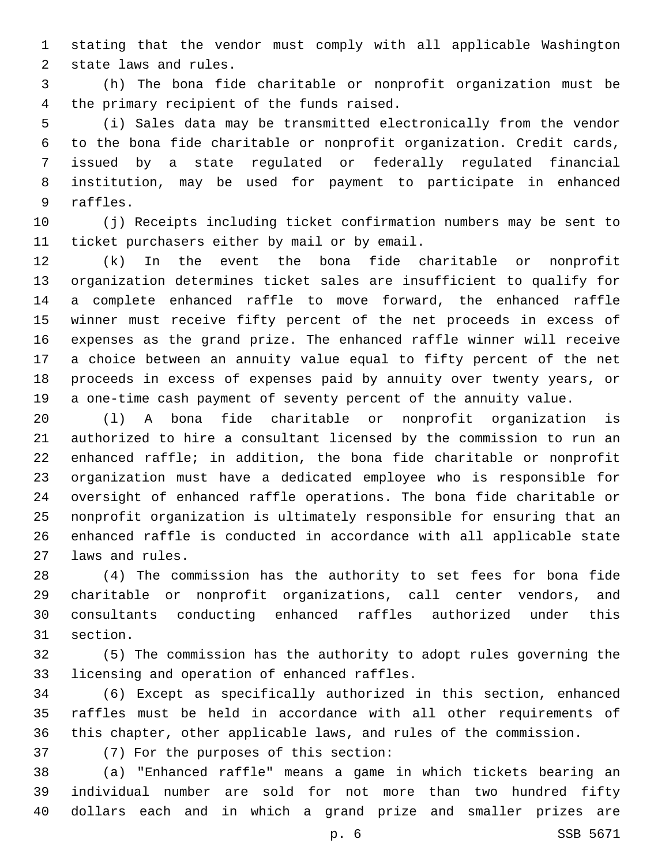stating that the vendor must comply with all applicable Washington 2 state laws and rules.

 (h) The bona fide charitable or nonprofit organization must be 4 the primary recipient of the funds raised.

 (i) Sales data may be transmitted electronically from the vendor to the bona fide charitable or nonprofit organization. Credit cards, issued by a state regulated or federally regulated financial institution, may be used for payment to participate in enhanced 9 raffles.

 (j) Receipts including ticket confirmation numbers may be sent to 11 ticket purchasers either by mail or by email.

 (k) In the event the bona fide charitable or nonprofit organization determines ticket sales are insufficient to qualify for a complete enhanced raffle to move forward, the enhanced raffle winner must receive fifty percent of the net proceeds in excess of expenses as the grand prize. The enhanced raffle winner will receive a choice between an annuity value equal to fifty percent of the net proceeds in excess of expenses paid by annuity over twenty years, or a one-time cash payment of seventy percent of the annuity value.

 (l) A bona fide charitable or nonprofit organization is authorized to hire a consultant licensed by the commission to run an enhanced raffle; in addition, the bona fide charitable or nonprofit organization must have a dedicated employee who is responsible for oversight of enhanced raffle operations. The bona fide charitable or nonprofit organization is ultimately responsible for ensuring that an enhanced raffle is conducted in accordance with all applicable state 27 laws and rules.

 (4) The commission has the authority to set fees for bona fide charitable or nonprofit organizations, call center vendors, and consultants conducting enhanced raffles authorized under this 31 section.

 (5) The commission has the authority to adopt rules governing the 33 licensing and operation of enhanced raffles.

 (6) Except as specifically authorized in this section, enhanced raffles must be held in accordance with all other requirements of this chapter, other applicable laws, and rules of the commission.

37 (7) For the purposes of this section:

 (a) "Enhanced raffle" means a game in which tickets bearing an individual number are sold for not more than two hundred fifty dollars each and in which a grand prize and smaller prizes are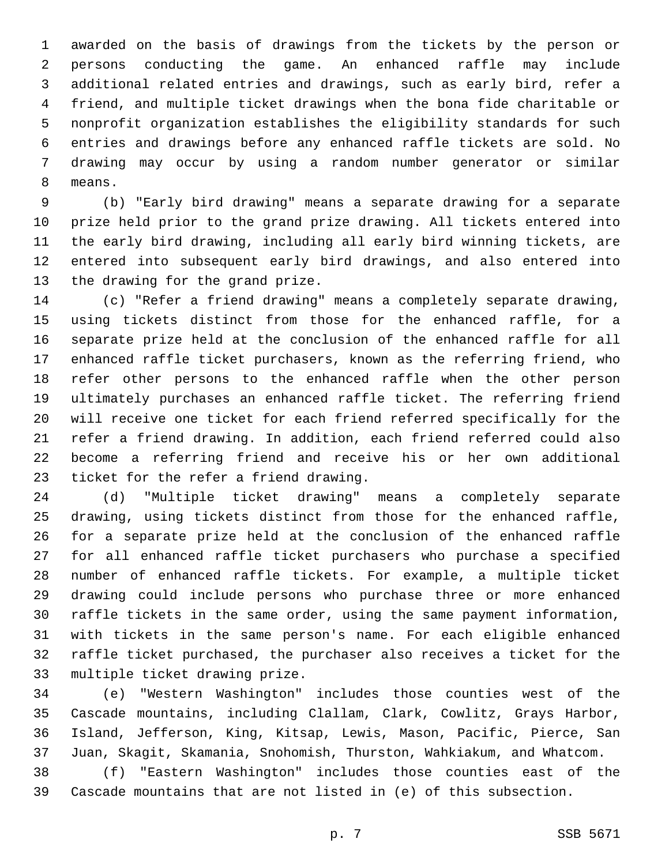awarded on the basis of drawings from the tickets by the person or persons conducting the game. An enhanced raffle may include additional related entries and drawings, such as early bird, refer a friend, and multiple ticket drawings when the bona fide charitable or nonprofit organization establishes the eligibility standards for such entries and drawings before any enhanced raffle tickets are sold. No drawing may occur by using a random number generator or similar 8 means.

 (b) "Early bird drawing" means a separate drawing for a separate prize held prior to the grand prize drawing. All tickets entered into the early bird drawing, including all early bird winning tickets, are entered into subsequent early bird drawings, and also entered into 13 the drawing for the grand prize.

 (c) "Refer a friend drawing" means a completely separate drawing, using tickets distinct from those for the enhanced raffle, for a separate prize held at the conclusion of the enhanced raffle for all enhanced raffle ticket purchasers, known as the referring friend, who refer other persons to the enhanced raffle when the other person ultimately purchases an enhanced raffle ticket. The referring friend will receive one ticket for each friend referred specifically for the refer a friend drawing. In addition, each friend referred could also become a referring friend and receive his or her own additional 23 ticket for the refer a friend drawing.

 (d) "Multiple ticket drawing" means a completely separate drawing, using tickets distinct from those for the enhanced raffle, for a separate prize held at the conclusion of the enhanced raffle for all enhanced raffle ticket purchasers who purchase a specified number of enhanced raffle tickets. For example, a multiple ticket drawing could include persons who purchase three or more enhanced raffle tickets in the same order, using the same payment information, with tickets in the same person's name. For each eligible enhanced raffle ticket purchased, the purchaser also receives a ticket for the 33 multiple ticket drawing prize.

 (e) "Western Washington" includes those counties west of the Cascade mountains, including Clallam, Clark, Cowlitz, Grays Harbor, Island, Jefferson, King, Kitsap, Lewis, Mason, Pacific, Pierce, San Juan, Skagit, Skamania, Snohomish, Thurston, Wahkiakum, and Whatcom.

 (f) "Eastern Washington" includes those counties east of the Cascade mountains that are not listed in (e) of this subsection.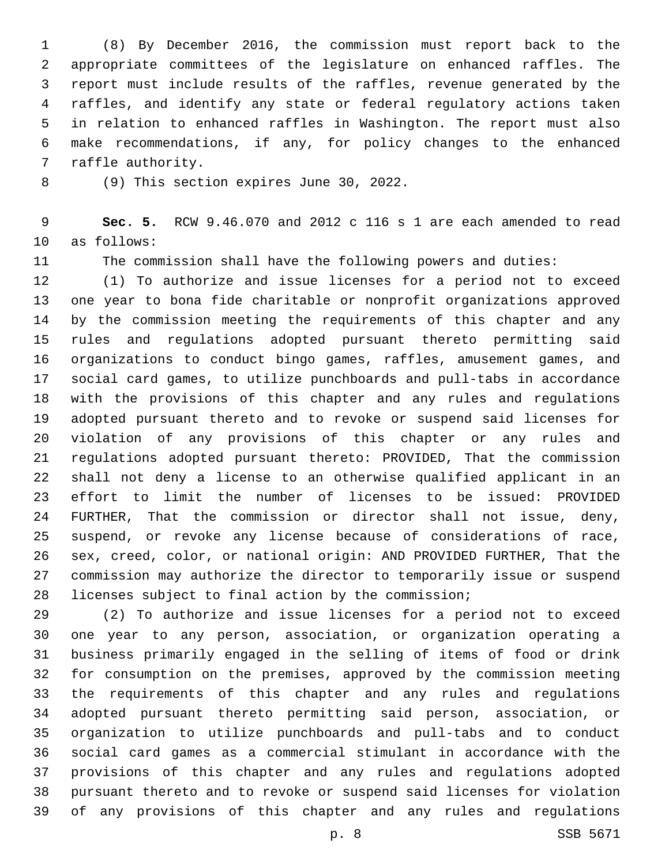(8) By December 2016, the commission must report back to the appropriate committees of the legislature on enhanced raffles. The report must include results of the raffles, revenue generated by the raffles, and identify any state or federal regulatory actions taken in relation to enhanced raffles in Washington. The report must also make recommendations, if any, for policy changes to the enhanced 7 raffle authority.

8 (9) This section expires June 30, 2022.

 **Sec. 5.** RCW 9.46.070 and 2012 c 116 s 1 are each amended to read 10 as follows:

The commission shall have the following powers and duties:

 (1) To authorize and issue licenses for a period not to exceed one year to bona fide charitable or nonprofit organizations approved by the commission meeting the requirements of this chapter and any rules and regulations adopted pursuant thereto permitting said organizations to conduct bingo games, raffles, amusement games, and social card games, to utilize punchboards and pull-tabs in accordance with the provisions of this chapter and any rules and regulations adopted pursuant thereto and to revoke or suspend said licenses for violation of any provisions of this chapter or any rules and regulations adopted pursuant thereto: PROVIDED, That the commission shall not deny a license to an otherwise qualified applicant in an effort to limit the number of licenses to be issued: PROVIDED FURTHER, That the commission or director shall not issue, deny, suspend, or revoke any license because of considerations of race, sex, creed, color, or national origin: AND PROVIDED FURTHER, That the commission may authorize the director to temporarily issue or suspend licenses subject to final action by the commission;

 (2) To authorize and issue licenses for a period not to exceed one year to any person, association, or organization operating a business primarily engaged in the selling of items of food or drink for consumption on the premises, approved by the commission meeting the requirements of this chapter and any rules and regulations adopted pursuant thereto permitting said person, association, or organization to utilize punchboards and pull-tabs and to conduct social card games as a commercial stimulant in accordance with the provisions of this chapter and any rules and regulations adopted pursuant thereto and to revoke or suspend said licenses for violation of any provisions of this chapter and any rules and regulations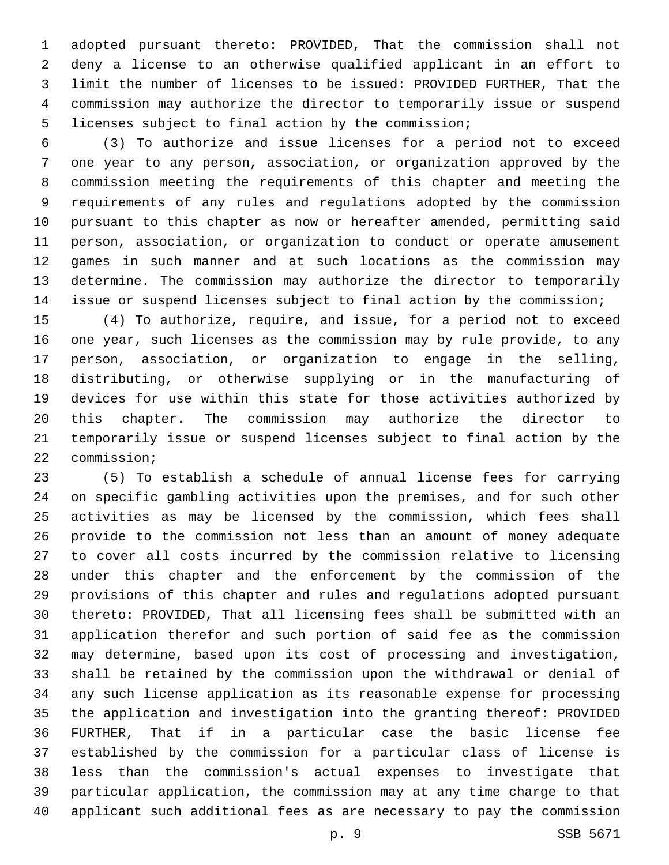adopted pursuant thereto: PROVIDED, That the commission shall not deny a license to an otherwise qualified applicant in an effort to limit the number of licenses to be issued: PROVIDED FURTHER, That the commission may authorize the director to temporarily issue or suspend licenses subject to final action by the commission;

 (3) To authorize and issue licenses for a period not to exceed one year to any person, association, or organization approved by the commission meeting the requirements of this chapter and meeting the requirements of any rules and regulations adopted by the commission pursuant to this chapter as now or hereafter amended, permitting said person, association, or organization to conduct or operate amusement games in such manner and at such locations as the commission may determine. The commission may authorize the director to temporarily issue or suspend licenses subject to final action by the commission;

 (4) To authorize, require, and issue, for a period not to exceed one year, such licenses as the commission may by rule provide, to any person, association, or organization to engage in the selling, distributing, or otherwise supplying or in the manufacturing of devices for use within this state for those activities authorized by this chapter. The commission may authorize the director to temporarily issue or suspend licenses subject to final action by the 22 commission;

 (5) To establish a schedule of annual license fees for carrying on specific gambling activities upon the premises, and for such other activities as may be licensed by the commission, which fees shall provide to the commission not less than an amount of money adequate to cover all costs incurred by the commission relative to licensing under this chapter and the enforcement by the commission of the provisions of this chapter and rules and regulations adopted pursuant thereto: PROVIDED, That all licensing fees shall be submitted with an application therefor and such portion of said fee as the commission may determine, based upon its cost of processing and investigation, shall be retained by the commission upon the withdrawal or denial of any such license application as its reasonable expense for processing the application and investigation into the granting thereof: PROVIDED FURTHER, That if in a particular case the basic license fee established by the commission for a particular class of license is less than the commission's actual expenses to investigate that particular application, the commission may at any time charge to that applicant such additional fees as are necessary to pay the commission

p. 9 SSB 5671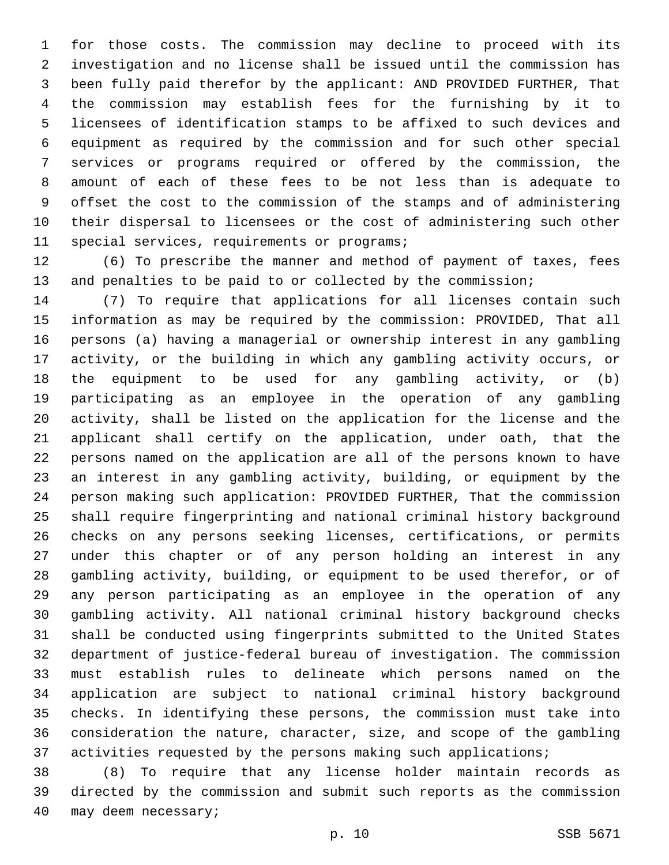for those costs. The commission may decline to proceed with its investigation and no license shall be issued until the commission has been fully paid therefor by the applicant: AND PROVIDED FURTHER, That the commission may establish fees for the furnishing by it to licensees of identification stamps to be affixed to such devices and equipment as required by the commission and for such other special services or programs required or offered by the commission, the amount of each of these fees to be not less than is adequate to offset the cost to the commission of the stamps and of administering their dispersal to licensees or the cost of administering such other 11 special services, requirements or programs;

 (6) To prescribe the manner and method of payment of taxes, fees and penalties to be paid to or collected by the commission;

 (7) To require that applications for all licenses contain such information as may be required by the commission: PROVIDED, That all persons (a) having a managerial or ownership interest in any gambling activity, or the building in which any gambling activity occurs, or the equipment to be used for any gambling activity, or (b) participating as an employee in the operation of any gambling activity, shall be listed on the application for the license and the applicant shall certify on the application, under oath, that the persons named on the application are all of the persons known to have an interest in any gambling activity, building, or equipment by the person making such application: PROVIDED FURTHER, That the commission shall require fingerprinting and national criminal history background checks on any persons seeking licenses, certifications, or permits under this chapter or of any person holding an interest in any gambling activity, building, or equipment to be used therefor, or of any person participating as an employee in the operation of any gambling activity. All national criminal history background checks shall be conducted using fingerprints submitted to the United States department of justice-federal bureau of investigation. The commission must establish rules to delineate which persons named on the application are subject to national criminal history background checks. In identifying these persons, the commission must take into consideration the nature, character, size, and scope of the gambling 37 activities requested by the persons making such applications;

 (8) To require that any license holder maintain records as directed by the commission and submit such reports as the commission 40 may deem necessary;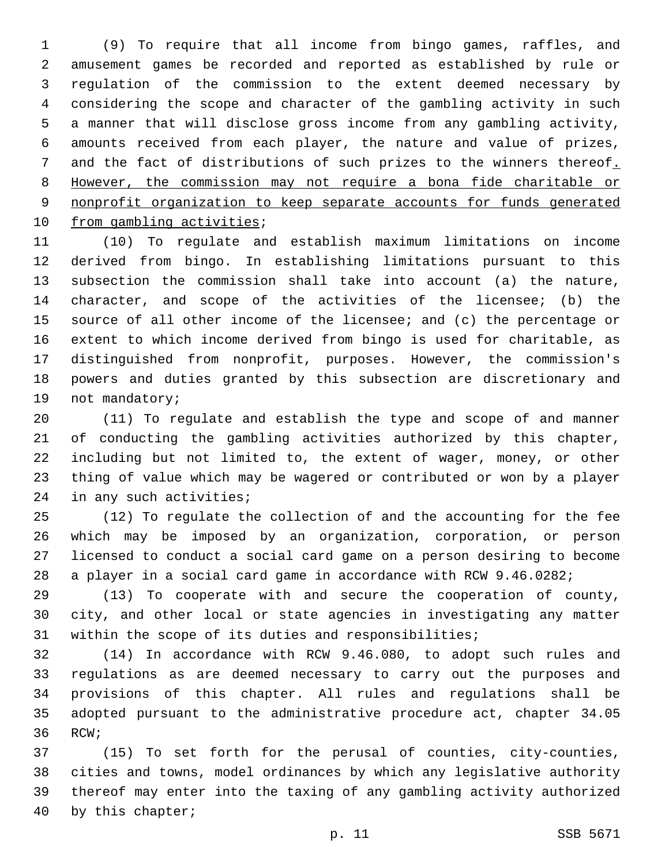(9) To require that all income from bingo games, raffles, and amusement games be recorded and reported as established by rule or regulation of the commission to the extent deemed necessary by considering the scope and character of the gambling activity in such a manner that will disclose gross income from any gambling activity, amounts received from each player, the nature and value of prizes, and the fact of distributions of such prizes to the winners thereof. However, the commission may not require a bona fide charitable or nonprofit organization to keep separate accounts for funds generated 10 from gambling activities;

 (10) To regulate and establish maximum limitations on income derived from bingo. In establishing limitations pursuant to this subsection the commission shall take into account (a) the nature, character, and scope of the activities of the licensee; (b) the source of all other income of the licensee; and (c) the percentage or extent to which income derived from bingo is used for charitable, as distinguished from nonprofit, purposes. However, the commission's powers and duties granted by this subsection are discretionary and 19 not mandatory;

 (11) To regulate and establish the type and scope of and manner of conducting the gambling activities authorized by this chapter, including but not limited to, the extent of wager, money, or other thing of value which may be wagered or contributed or won by a player 24 in any such activities;

 (12) To regulate the collection of and the accounting for the fee which may be imposed by an organization, corporation, or person licensed to conduct a social card game on a person desiring to become a player in a social card game in accordance with RCW 9.46.0282;

 (13) To cooperate with and secure the cooperation of county, city, and other local or state agencies in investigating any matter within the scope of its duties and responsibilities;

 (14) In accordance with RCW 9.46.080, to adopt such rules and regulations as are deemed necessary to carry out the purposes and provisions of this chapter. All rules and regulations shall be adopted pursuant to the administrative procedure act, chapter 34.05 36 RCW;

 (15) To set forth for the perusal of counties, city-counties, cities and towns, model ordinances by which any legislative authority thereof may enter into the taxing of any gambling activity authorized 40 by this chapter;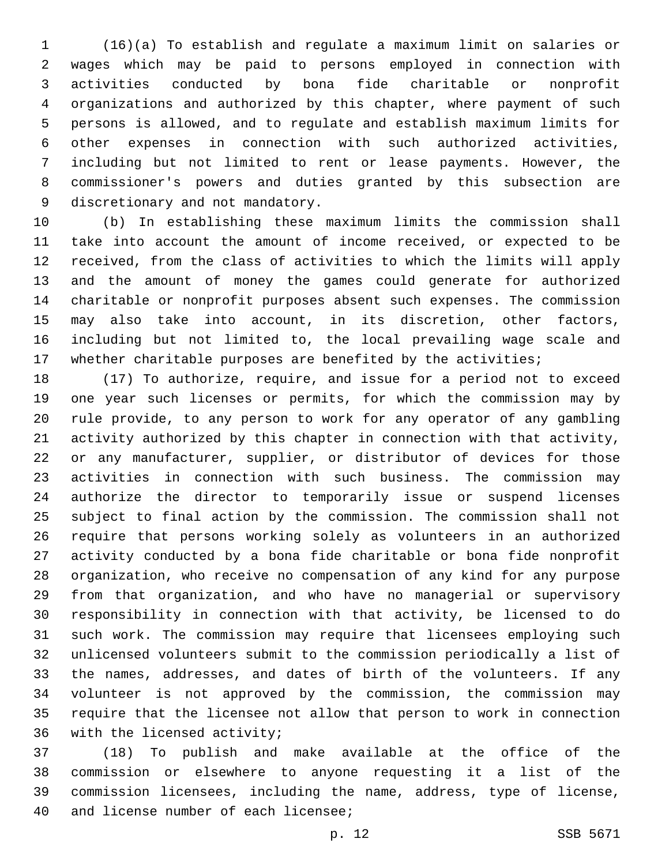(16)(a) To establish and regulate a maximum limit on salaries or wages which may be paid to persons employed in connection with activities conducted by bona fide charitable or nonprofit organizations and authorized by this chapter, where payment of such persons is allowed, and to regulate and establish maximum limits for other expenses in connection with such authorized activities, including but not limited to rent or lease payments. However, the commissioner's powers and duties granted by this subsection are 9 discretionary and not mandatory.

 (b) In establishing these maximum limits the commission shall take into account the amount of income received, or expected to be received, from the class of activities to which the limits will apply and the amount of money the games could generate for authorized charitable or nonprofit purposes absent such expenses. The commission may also take into account, in its discretion, other factors, including but not limited to, the local prevailing wage scale and whether charitable purposes are benefited by the activities;

 (17) To authorize, require, and issue for a period not to exceed one year such licenses or permits, for which the commission may by rule provide, to any person to work for any operator of any gambling activity authorized by this chapter in connection with that activity, or any manufacturer, supplier, or distributor of devices for those activities in connection with such business. The commission may authorize the director to temporarily issue or suspend licenses subject to final action by the commission. The commission shall not require that persons working solely as volunteers in an authorized activity conducted by a bona fide charitable or bona fide nonprofit organization, who receive no compensation of any kind for any purpose from that organization, and who have no managerial or supervisory responsibility in connection with that activity, be licensed to do such work. The commission may require that licensees employing such unlicensed volunteers submit to the commission periodically a list of the names, addresses, and dates of birth of the volunteers. If any volunteer is not approved by the commission, the commission may require that the licensee not allow that person to work in connection 36 with the licensed activity;

 (18) To publish and make available at the office of the commission or elsewhere to anyone requesting it a list of the commission licensees, including the name, address, type of license, 40 and license number of each licensee;